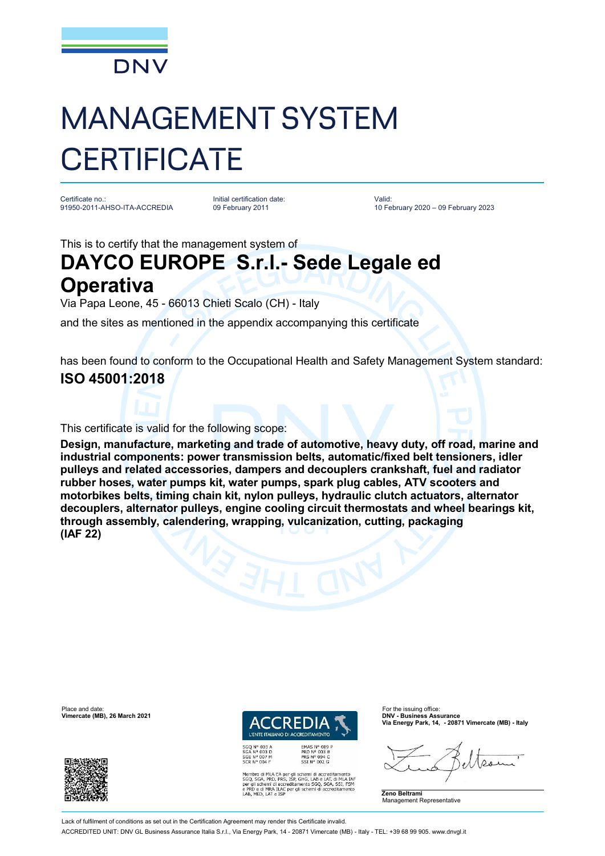

# MANAGEMENT SYSTEM **CERTIFICATE**

Certificate no.: 91950-2011-AHSO-ITA-ACCREDIA

Initial certification date: 09 February 2011

Valid: 10 February 2020 – 09 February 2023

This is to certify that the management system of

## **DAYCO EUROPE S.r.l.- Sede Legale ed**

### **Operativa**

Via Papa Leone, 45 - 66013 Chieti Scalo (CH) - Italy

and the sites as mentioned in the appendix accompanying this certificate

has been found to conform to the Occupational Health and Safety Management System standard: **ISO 45001:2018**

#### This certificate is valid for the following scope:

**Design, manufacture, marketing and trade of automotive, heavy duty, off road, marine and industrial components: power transmission belts, automatic/fixed belt tensioners, idler pulleys and related accessories, dampers and decouplers crankshaft, fuel and radiator rubber hoses, water pumps kit, water pumps, spark plug cables, ATV scooters and motorbikes belts, timing chain kit, nylon pulleys, hydraulic clutch actuators, alternator decouplers, alternator pulleys, engine cooling circuit thermostats and wheel bearings kit, through assembly, calendering, wrapping, vulcanization, cutting, packaging (IAF 22)**



Place and date: For the issuing office:<br>**Vimercate (MB), 26 March 2021 DNV - Business Assurance** *I'ENTE ITALIANO DI ACC* 

EMAS N° 009<br>PRD N° 003 B<br>PRS N° 094 C<br>SSI N° 002 G

Membro di MLA EA per gli schemi di accreditamento<br>SGO, SGA, PRD, PRS, ISP, GHG, LAB e LAT, di MLA IAT<br>per gli schemi di accreditamento SGO, SGA, SSI, FSM<br>e PRD e di MRA ILAC per gli schemi di accreditamento<br>LAB, MED, LAT e

**Via Energy Park, 14, - 20871 Vimercate (MB) - Italy**

 $\Omega_{1}$ 

**Zeno Beltrami** Management Representative

Lack of fulfilment of conditions as set out in the Certification Agreement may render this Certificate invalid

ACCREDITED UNIT: DNV GL Business Assurance Italia S.r.l., Via Energy Park, 14 - 20871 Vimercate (MB) - Italy - TEL: +39 68 99 905. [www.dnvgl.it](http://www.dnvgl.it)